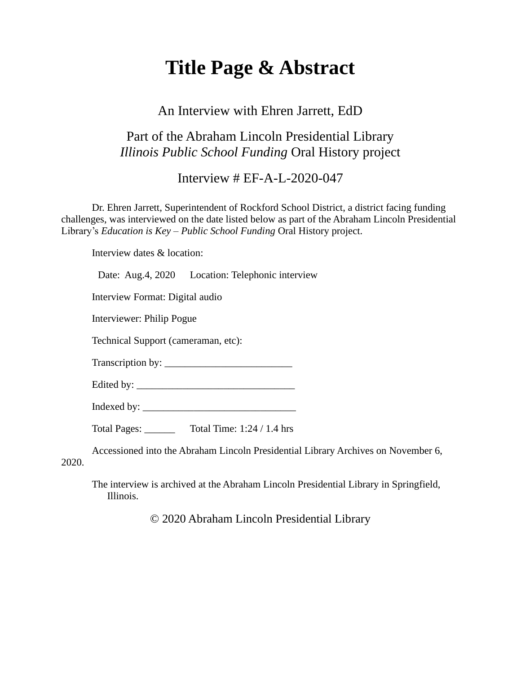# **Title Page & Abstract**

#### An Interview with Ehren Jarrett, EdD

## Part of the Abraham Lincoln Presidential Library *Illinois Public School Funding* Oral History project

#### Interview # EF-A-L-2020-047

Dr. Ehren Jarrett, Superintendent of Rockford School District, a district facing funding challenges, was interviewed on the date listed below as part of the Abraham Lincoln Presidential Library's *Education is Key – Public School Funding* Oral History project.

Interview dates & location:

Date: Aug.4, 2020 Location: Telephonic interview

Interview Format: Digital audio

Interviewer: Philip Pogue

Technical Support (cameraman, etc):

Transcription by: \_\_\_\_\_\_\_\_\_\_\_\_\_\_\_\_\_\_\_\_\_\_\_\_\_

Edited by: \_\_\_\_\_\_\_\_\_\_\_\_\_\_\_\_\_\_\_\_\_\_\_\_\_\_\_\_\_\_\_

Indexed by: \_\_\_\_\_\_\_\_\_\_\_\_\_\_\_\_\_\_\_\_\_\_\_\_\_\_\_\_\_\_

Total Pages: \_\_\_\_\_\_ Total Time: 1:24 / 1.4 hrs

Accessioned into the Abraham Lincoln Presidential Library Archives on November 6,

2020.

The interview is archived at the Abraham Lincoln Presidential Library in Springfield, Illinois.

© 2020 Abraham Lincoln Presidential Library